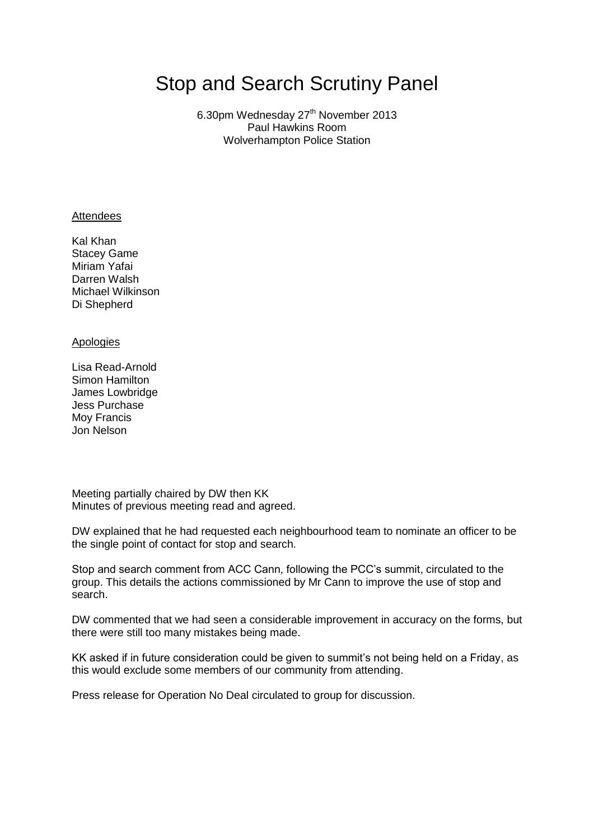# Stop and Search Scrutiny Panel

6.30pm Wednesday 27<sup>th</sup> November 2013 Paul Hawkins Room Wolverhampton Police Station

#### **Attendees**

Kal Khan Stacey Game Miriam Yafai Darren Walsh Michael Wilkinson Di Shepherd

#### Apologies

Lisa Read-Arnold Simon Hamilton James Lowbridge Jess Purchase Moy Francis Jon Nelson

Meeting partially chaired by DW then KK Minutes of previous meeting read and agreed.

DW explained that he had requested each neighbourhood team to nominate an officer to be the single point of contact for stop and search.

Stop and search comment from ACC Cann, following the PCC's summit, circulated to the group. This details the actions commissioned by Mr Cann to improve the use of stop and search.

DW commented that we had seen a considerable improvement in accuracy on the forms, but there were still too many mistakes being made.

KK asked if in future consideration could be given to summit's not being held on a Friday, as this would exclude some members of our community from attending.

Press release for Operation No Deal circulated to group for discussion.